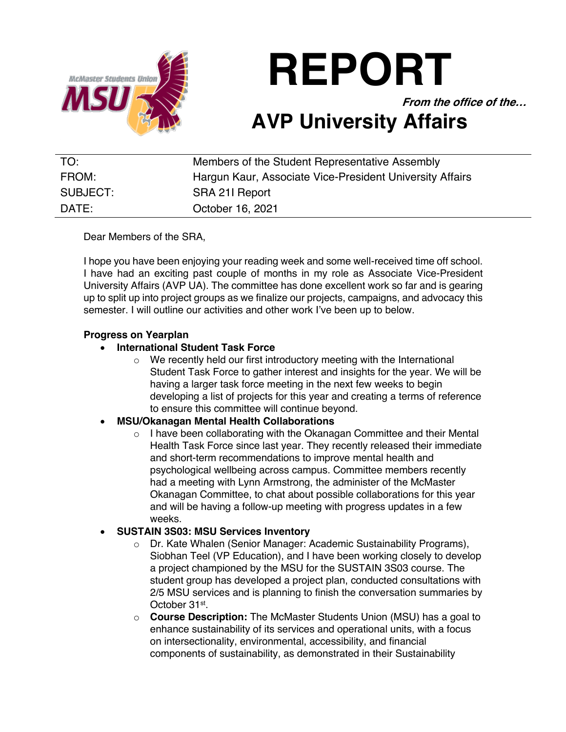

**REPORT**

**From the office of the…**

# **AVP University Affairs**

| TO:      | Members of the Student Representative Assembly           |
|----------|----------------------------------------------------------|
| FROM:    | Hargun Kaur, Associate Vice-President University Affairs |
| SUBJECT: | SRA 211 Report                                           |
| DATE:    | October 16, 2021                                         |

Dear Members of the SRA,

I hope you have been enjoying your reading week and some well-received time off school. I have had an exciting past couple of months in my role as Associate Vice-President University Affairs (AVP UA). The committee has done excellent work so far and is gearing up to split up into project groups as we finalize our projects, campaigns, and advocacy this semester. I will outline our activities and other work I've been up to below.

### **Progress on Yearplan**

### • **International Student Task Force**

o We recently held our first introductory meeting with the International Student Task Force to gather interest and insights for the year. We will be having a larger task force meeting in the next few weeks to begin developing a list of projects for this year and creating a terms of reference to ensure this committee will continue beyond.

## • **MSU/Okanagan Mental Health Collaborations**

o I have been collaborating with the Okanagan Committee and their Mental Health Task Force since last year. They recently released their immediate and short-term recommendations to improve mental health and psychological wellbeing across campus. Committee members recently had a meeting with Lynn Armstrong, the administer of the McMaster Okanagan Committee, to chat about possible collaborations for this year and will be having a follow-up meeting with progress updates in a few weeks.

#### • **SUSTAIN 3S03: MSU Services Inventory**

- o Dr. Kate Whalen (Senior Manager: Academic Sustainability Programs), Siobhan Teel (VP Education), and I have been working closely to develop a project championed by the MSU for the SUSTAIN 3S03 course. The student group has developed a project plan, conducted consultations with 2/5 MSU services and is planning to finish the conversation summaries by October 31st.
- o **Course Description:** The McMaster Students Union (MSU) has a goal to enhance sustainability of its services and operational units, with a focus on intersectionality, environmental, accessibility, and financial components of sustainability, as demonstrated in their Sustainability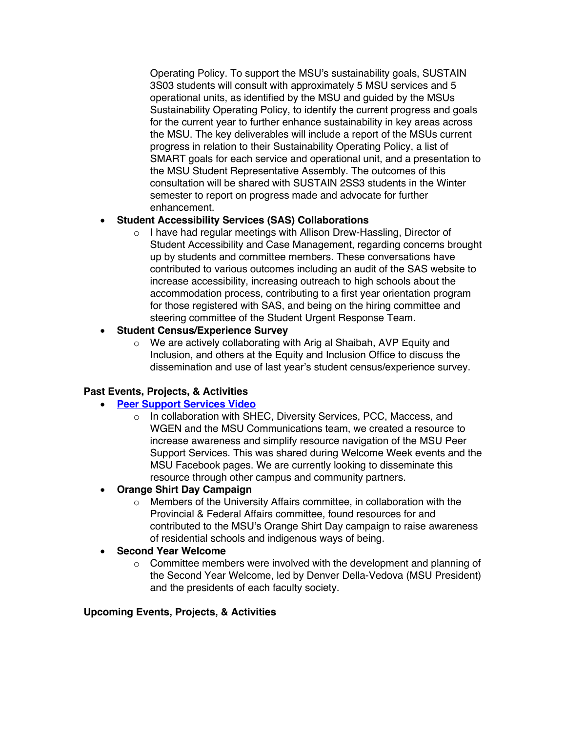Operating Policy. To support the MSU's sustainability goals, SUSTAIN 3S03 students will consult with approximately 5 MSU services and 5 operational units, as identified by the MSU and guided by the MSUs Sustainability Operating Policy, to identify the current progress and goals for the current year to further enhance sustainability in key areas across the MSU. The key deliverables will include a report of the MSUs current progress in relation to their Sustainability Operating Policy, a list of SMART goals for each service and operational unit, and a presentation to the MSU Student Representative Assembly. The outcomes of this consultation will be shared with SUSTAIN 2SS3 students in the Winter semester to report on progress made and advocate for further enhancement.

### • **Student Accessibility Services (SAS) Collaborations**

o I have had regular meetings with Allison Drew-Hassling, Director of Student Accessibility and Case Management, regarding concerns brought up by students and committee members. These conversations have contributed to various outcomes including an audit of the SAS website to increase accessibility, increasing outreach to high schools about the accommodation process, contributing to a first year orientation program for those registered with SAS, and being on the hiring committee and steering committee of the Student Urgent Response Team.

### • **Student Census/Experience Survey**

o We are actively collaborating with Arig al Shaibah, AVP Equity and Inclusion, and others at the Equity and Inclusion Office to discuss the dissemination and use of last year's student census/experience survey.

## **Past Events, Projects, & Activities**

#### • **Peer Support Services Video**

o In collaboration with SHEC, Diversity Services, PCC, Maccess, and WGEN and the MSU Communications team, we created a resource to increase awareness and simplify resource navigation of the MSU Peer Support Services. This was shared during Welcome Week events and the MSU Facebook pages. We are currently looking to disseminate this resource through other campus and community partners.

## • **Orange Shirt Day Campaign**

o Members of the University Affairs committee, in collaboration with the Provincial & Federal Affairs committee, found resources for and contributed to the MSU's Orange Shirt Day campaign to raise awareness of residential schools and indigenous ways of being.

#### • **Second Year Welcome**

 $\circ$  Committee members were involved with the development and planning of the Second Year Welcome, led by Denver Della-Vedova (MSU President) and the presidents of each faculty society.

#### **Upcoming Events, Projects, & Activities**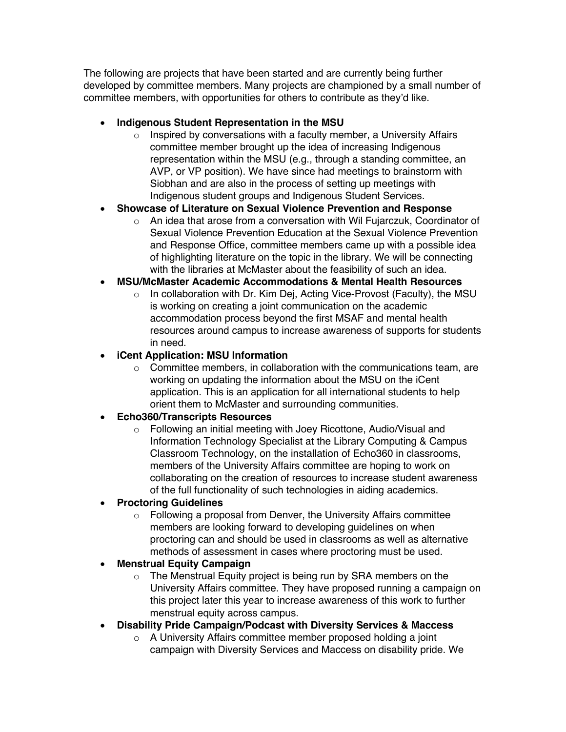The following are projects that have been started and are currently being further developed by committee members. Many projects are championed by a small number of committee members, with opportunities for others to contribute as they'd like.

- **Indigenous Student Representation in the MSU**
	- $\circ$  Inspired by conversations with a faculty member, a University Affairs committee member brought up the idea of increasing Indigenous representation within the MSU (e.g., through a standing committee, an AVP, or VP position). We have since had meetings to brainstorm with Siobhan and are also in the process of setting up meetings with Indigenous student groups and Indigenous Student Services.
- **Showcase of Literature on Sexual Violence Prevention and Response**
	- $\circ$  An idea that arose from a conversation with Wil Fujarczuk, Coordinator of Sexual Violence Prevention Education at the Sexual Violence Prevention and Response Office, committee members came up with a possible idea of highlighting literature on the topic in the library. We will be connecting with the libraries at McMaster about the feasibility of such an idea.

## • **MSU/McMaster Academic Accommodations & Mental Health Resources**

o In collaboration with Dr. Kim Dej, Acting Vice-Provost (Faculty), the MSU is working on creating a joint communication on the academic accommodation process beyond the first MSAF and mental health resources around campus to increase awareness of supports for students in need.

## • **iCent Application: MSU Information**

 $\circ$  Committee members, in collaboration with the communications team, are working on updating the information about the MSU on the iCent application. This is an application for all international students to help orient them to McMaster and surrounding communities.

## • **Echo360/Transcripts Resources**

o Following an initial meeting with Joey Ricottone, Audio/Visual and Information Technology Specialist at the Library Computing & Campus Classroom Technology, on the installation of Echo360 in classrooms, members of the University Affairs committee are hoping to work on collaborating on the creation of resources to increase student awareness of the full functionality of such technologies in aiding academics.

## • **Proctoring Guidelines**

 $\circ$  Following a proposal from Denver, the University Affairs committee members are looking forward to developing guidelines on when proctoring can and should be used in classrooms as well as alternative methods of assessment in cases where proctoring must be used.

## • **Menstrual Equity Campaign**

- o The Menstrual Equity project is being run by SRA members on the University Affairs committee. They have proposed running a campaign on this project later this year to increase awareness of this work to further menstrual equity across campus.
- **Disability Pride Campaign/Podcast with Diversity Services & Maccess**
	- o A University Affairs committee member proposed holding a joint campaign with Diversity Services and Maccess on disability pride. We